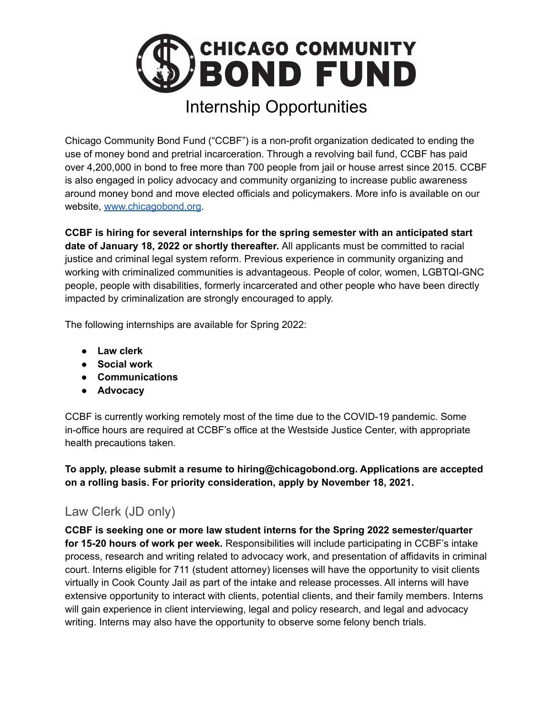

Chicago Community Bond Fund ("CCBF") is a non-profit organization dedicated to ending the use of money bond and pretrial incarceration. Through a revolving bail fund, CCBF has paid over 4,200,000 in bond to free more than 700 people from jail or house arrest since 2015. CCBF is also engaged in policy advocacy and community organizing to increase public awareness around money bond and move elected officials and policymakers. More info is available on our website, [www.chicagobond.org.](http://www.chicagobond.org)

**CCBF is hiring for several internships for the spring semester with an anticipated start date of January 18, 2022 or shortly thereafter.** All applicants must be committed to racial justice and criminal legal system reform. Previous experience in community organizing and working with criminalized communities is advantageous. People of color, women, LGBTQI-GNC people, people with disabilities, formerly incarcerated and other people who have been directly impacted by criminalization are strongly encouraged to apply.

The following internships are available for Spring 2022:

- **● Law clerk**
- **● Social work**
- **● Communications**
- **● Advocacy**

CCBF is currently working remotely most of the time due to the COVID-19 pandemic. Some in-office hours are required at CCBF's office at the Westside Justice Center, with appropriate health precautions taken.

**To apply, please submit a resume to hiring@chicagobond.org. Applications are accepted on a rolling basis. For priority consideration, apply by November 18, 2021.**

## Law Clerk (JD only)

**CCBF is seeking one or more law student interns for the Spring 2022 semester/quarter for 15-20 hours of work per week.** Responsibilities will include participating in CCBF's intake process, research and writing related to advocacy work, and presentation of affidavits in criminal court. Interns eligible for 711 (student attorney) licenses will have the opportunity to visit clients virtually in Cook County Jail as part of the intake and release processes. All interns will have extensive opportunity to interact with clients, potential clients, and their family members. Interns will gain experience in client interviewing, legal and policy research, and legal and advocacy writing. Interns may also have the opportunity to observe some felony bench trials.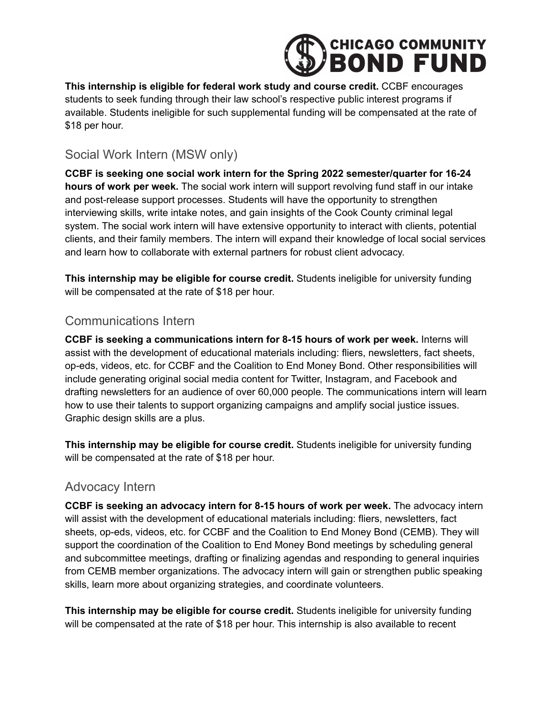

**This internship is eligible for federal work study and course credit.** CCBF encourages students to seek funding through their law school's respective public interest programs if available. Students ineligible for such supplemental funding will be compensated at the rate of \$18 per hour.

## Social Work Intern (MSW only)

**CCBF is seeking one social work intern for the Spring 2022 semester/quarter for 16-24 hours of work per week.** The social work intern will support revolving fund staff in our intake and post-release support processes. Students will have the opportunity to strengthen interviewing skills, write intake notes, and gain insights of the Cook County criminal legal system. The social work intern will have extensive opportunity to interact with clients, potential clients, and their family members. The intern will expand their knowledge of local social services and learn how to collaborate with external partners for robust client advocacy.

**This internship may be eligible for course credit.** Students ineligible for university funding will be compensated at the rate of \$18 per hour.

## Communications Intern

**CCBF is seeking a communications intern for 8-15 hours of work per week.** Interns will assist with the development of educational materials including: fliers, newsletters, fact sheets, op-eds, videos, etc. for CCBF and the Coalition to End Money Bond. Other responsibilities will include generating original social media content for Twitter, Instagram, and Facebook and drafting newsletters for an audience of over 60,000 people. The communications intern will learn how to use their talents to support organizing campaigns and amplify social justice issues. Graphic design skills are a plus.

**This internship may be eligible for course credit.** Students ineligible for university funding will be compensated at the rate of \$18 per hour.

## Advocacy Intern

**CCBF is seeking an advocacy intern for 8-15 hours of work per week.** The advocacy intern will assist with the development of educational materials including: fliers, newsletters, fact sheets, op-eds, videos, etc. for CCBF and the Coalition to End Money Bond (CEMB). They will support the coordination of the Coalition to End Money Bond meetings by scheduling general and subcommittee meetings, drafting or finalizing agendas and responding to general inquiries from CEMB member organizations. The advocacy intern will gain or strengthen public speaking skills, learn more about organizing strategies, and coordinate volunteers.

**This internship may be eligible for course credit.** Students ineligible for university funding will be compensated at the rate of \$18 per hour. This internship is also available to recent